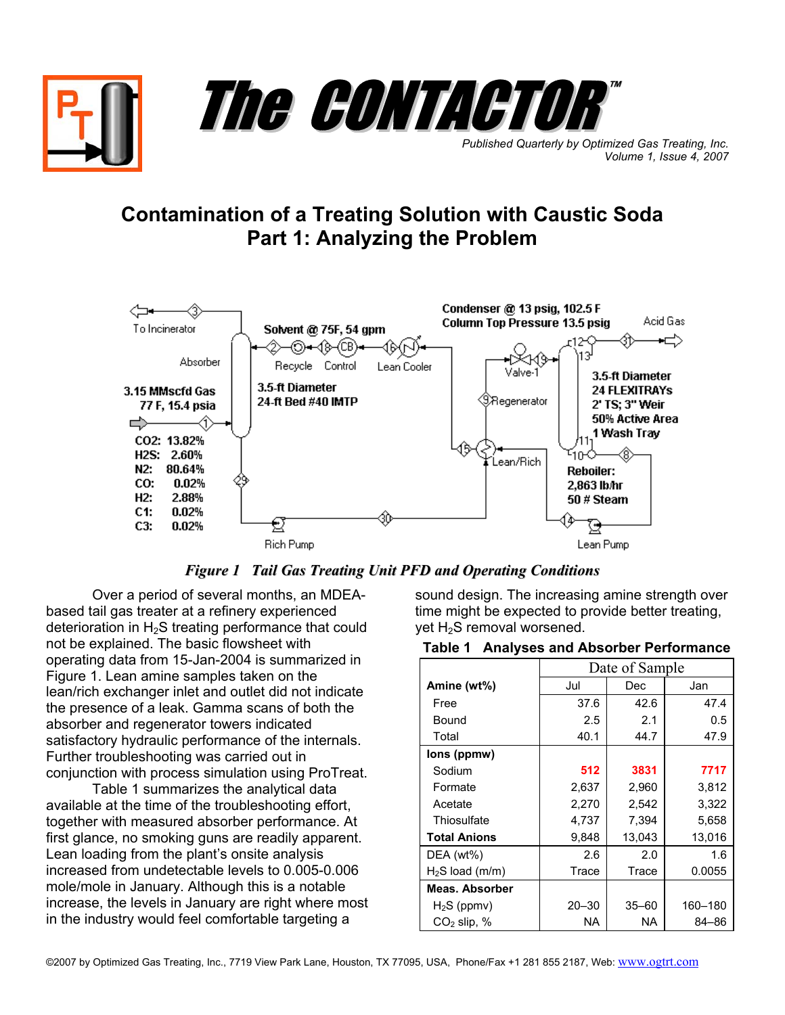



*Published Quarterly by Optimized Gas Treating, Inc. Volume 1, Issue 4, 2007*

# **Contamination of a Treating Solution with Caustic Soda Part 1: Analyzing the Problem**



*Figure 1 Tail Gas Treating Unit PFD and Operating Conditions*

Over a period of several months, an MDEAbased tail gas treater at a refinery experienced deterioration in  $H_2S$  treating performance that could not be explained. The basic flowsheet with operating data from 15-Jan-2004 is summarized in Figure 1. Lean amine samples taken on the lean/rich exchanger inlet and outlet did not indicate the presence of a leak. Gamma scans of both the absorber and regenerator towers indicated satisfactory hydraulic performance of the internals. Further troubleshooting was carried out in conjunction with process simulation using ProTreat.

Table 1 summarizes the analytical data available at the time of the troubleshooting effort, together with measured absorber performance. At first glance, no smoking guns are readily apparent. Lean loading from the plant's onsite analysis increased from undetectable levels to 0.005-0.006 mole/mole in January. Although this is a notable increase, the levels in January are right where most in the industry would feel comfortable targeting a

sound design. The increasing amine strength over time might be expected to provide better treating, yet H<sub>2</sub>S removal worsened.

#### **Table 1 Analyses and Absorber Performance**

|                     | Date of Sample |           |         |
|---------------------|----------------|-----------|---------|
| Amine (wt%)         | Jul            | Dec       | Jan     |
| Free                | 37.6           | 42.6      | 47.4    |
| Bound               | 2.5            | 2.1       | 0.5     |
| Total               | 40.1           | 44.7      | 47.9    |
| lons (ppmw)         |                |           |         |
| Sodium              | 512            | 3831      | 7717    |
| Formate             | 2,637          | 2,960     | 3,812   |
| Acetate             | 2,270          | 2,542     | 3,322   |
| Thiosulfate         | 4,737          | 7,394     | 5,658   |
| <b>Total Anions</b> | 9,848          | 13,043    | 13,016  |
| DEA (wt%)           | 2.6            | 2.0       | 1.6     |
| $H2S$ load (m/m)    | Trace          | Trace     | 0.0055  |
| Meas. Absorber      |                |           |         |
| $H_2S$ (ppmv)       | $20 - 30$      | $35 - 60$ | 160-180 |
| $CO2$ slip, %       | NA.            | NA        | 84-86   |